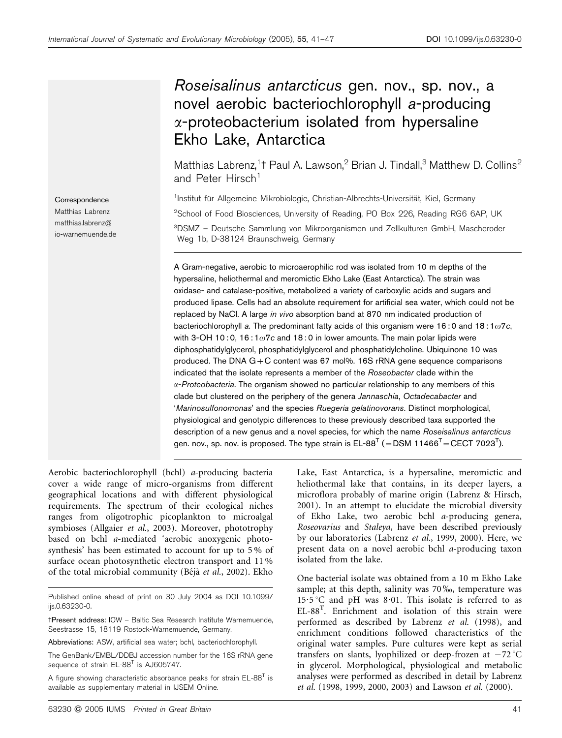# Roseisalinus antarcticus gen. nov., sp. nov., a novel aerobic bacteriochlorophyll a-producing  $\alpha$ -proteobacterium isolated from hypersaline Ekho Lake, Antarctica

Matthias Labrenz,<sup>1</sup>† Paul A. Lawson, $^2$  Brian J. Tindall, $^3$  Matthew D. Collins $^2$ and Peter Hirsch<sup>1</sup>

<sup>1</sup>Institut für Allgemeine Mikrobiologie, Christian-Albrechts-Universität, Kiel, Germany <sup>2</sup>School of Food Biosciences, University of Reading, PO Box 226, Reading RG6 6AP, UK 3 DSMZ – Deutsche Sammlung von Mikroorganismen und Zellkulturen GmbH, Mascheroder Weg 1b, D-38124 Braunschweig, Germany

A Gram-negative, aerobic to microaerophilic rod was isolated from 10 m depths of the hypersaline, heliothermal and meromictic Ekho Lake (East Antarctica). The strain was oxidase- and catalase-positive, metabolized a variety of carboxylic acids and sugars and produced lipase. Cells had an absolute requirement for artificial sea water, which could not be replaced by NaCl. A large in vivo absorption band at 870 nm indicated production of bacteriochlorophyll a. The predominant fatty acids of this organism were 16:0 and 18:1 $\omega$ 7c, with 3-OH 10:0, 16:1 $\omega$ 7c and 18:0 in lower amounts. The main polar lipids were diphosphatidylglycerol, phosphatidylglycerol and phosphatidylcholine. Ubiquinone 10 was produced. The DNA G*+*C content was 67 mol%. 16S rRNA gene sequence comparisons indicated that the isolate represents a member of the Roseobacter clade within the a-Proteobacteria. The organism showed no particular relationship to any members of this clade but clustered on the periphery of the genera Jannaschia, Octadecabacter and 'Marinosulfonomonas' and the species Ruegeria gelatinovorans. Distinct morphological, physiological and genotypic differences to these previously described taxa supported the description of a new genus and a novel species, for which the name Roseisalinus antarcticus gen. nov., sp. nov. is proposed. The type strain is EL-88 $^{\intercal}$  (=DSM 11466 $^{\intercal}$ =CECT 7023 $^{\intercal}$ ).

Aerobic bacteriochlorophyll (bchl) a-producing bacteria cover a wide range of micro-organisms from different geographical locations and with different physiological requirements. The spectrum of their ecological niches ranges from oligotrophic picoplankton to microalgal symbioses (Allgaier et al., 2003). Moreover, phototrophy based on bchl a-mediated 'aerobic anoxygenic photosynthesis' has been estimated to account for up to 5 % of surface ocean photosynthetic electron transport and 11 % of the total microbial community (Béjà et al., 2002). Ekho

Published online ahead of print on 30 July 2004 as DOI 10.1099/ ijs.0.63230-0.

tPresent address: IOW - Baltic Sea Research Institute Warnemuende, Seestrasse 15, 18119 Rostock-Warnemuende, Germany.

Abbreviations: ASW, artificial sea water; bchl, bacteriochlorophyll.

The GenBank/EMBL/DDBJ accession number for the 16S rRNA gene sequence of strain EL-88<sup>T</sup> is AJ605747.

A figure showing characteristic absorbance peaks for strain  $EL$ -88<sup>T</sup> is available as supplementary material in IJSEM Online.

Lake, East Antarctica, is a hypersaline, meromictic and heliothermal lake that contains, in its deeper layers, a microflora probably of marine origin (Labrenz & Hirsch, 2001). In an attempt to elucidate the microbial diversity of Ekho Lake, two aerobic bchl a-producing genera, Roseovarius and Staleya, have been described previously by our laboratories (Labrenz et al., 1999, 2000). Here, we present data on a novel aerobic bchl a-producing taxon isolated from the lake.

One bacterial isolate was obtained from a 10 m Ekho Lake sample; at this depth, salinity was 70%, temperature was 15.5 °C and pH was 8.01. This isolate is referred to as EL-88<sup>T</sup> . Enrichment and isolation of this strain were performed as described by Labrenz et al. (1998), and enrichment conditions followed characteristics of the original water samples. Pure cultures were kept as serial transfers on slants, lyophilized or deep-frozen at  $-72$  °C in glycerol. Morphological, physiological and metabolic analyses were performed as described in detail by Labrenz et al. (1998, 1999, 2000, 2003) and Lawson et al. (2000).

**Correspondence** Matthias Labrenz matthias.labrenz@ io-warnemuende.de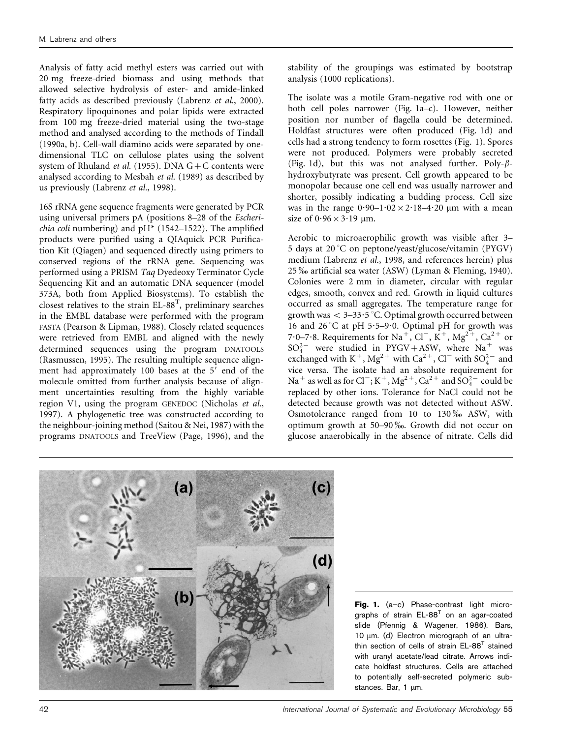Analysis of fatty acid methyl esters was carried out with 20 mg freeze-dried biomass and using methods that allowed selective hydrolysis of ester- and amide-linked fatty acids as described previously (Labrenz et al., 2000). Respiratory lipoquinones and polar lipids were extracted from 100 mg freeze-dried material using the two-stage method and analysed according to the methods of Tindall (1990a, b). Cell-wall diamino acids were separated by onedimensional TLC on cellulose plates using the solvent system of Rhuland *et al.* (1955). DNA  $G + C$  contents were analysed according to Mesbah et al. (1989) as described by us previously (Labrenz et al., 1998).

16S rRNA gene sequence fragments were generated by PCR using universal primers pA (positions 8–28 of the Escheri*chia coli* numbering) and  $pH^*$  (1542–1522). The amplified products were purified using a QIAquick PCR Purification Kit (Qiagen) and sequenced directly using primers to conserved regions of the rRNA gene. Sequencing was performed using a PRISM Taq Dyedeoxy Terminator Cycle Sequencing Kit and an automatic DNA sequencer (model 373A, both from Applied Biosystems). To establish the closest relatives to the strain  $EL-88^T$ , preliminary searches in the EMBL database were performed with the program FASTA (Pearson & Lipman, 1988). Closely related sequences were retrieved from EMBL and aligned with the newly determined sequences using the program DNATOOLS (Rasmussen, 1995). The resulting multiple sequence alignment had approximately 100 bases at the 5' end of the molecule omitted from further analysis because of alignment uncertainties resulting from the highly variable region V1, using the program GENEDOC (Nicholas et al., 1997). A phylogenetic tree was constructed according to the neighbour-joining method (Saitou & Nei, 1987) with the programs DNATOOLS and TreeView (Page, 1996), and the

stability of the groupings was estimated by bootstrap analysis (1000 replications).

The isolate was a motile Gram-negative rod with one or both cell poles narrower (Fig. 1a–c). However, neither position nor number of flagella could be determined. Holdfast structures were often produced (Fig. 1d) and cells had a strong tendency to form rosettes (Fig. 1). Spores were not produced. Polymers were probably secreted (Fig. 1d), but this was not analysed further. Poly- $\beta$ hydroxybutyrate was present. Cell growth appeared to be monopolar because one cell end was usually narrower and shorter, possibly indicating a budding process. Cell size was in the range  $0.90-1.02 \times 2.18-4.20 \mu m$  with a mean size of  $0.96 \times 3.19$  µm.

Aerobic to microaerophilic growth was visible after 3– 5 days at 20 °C on peptone/yeast/glucose/vitamin (PYGV) medium (Labrenz et al., 1998, and references herein) plus 25 ‰ artificial sea water (ASW) (Lyman & Fleming, 1940). Colonies were 2 mm in diameter, circular with regular edges, smooth, convex and red. Growth in liquid cultures occurred as small aggregates. The temperature range for growth was  $< 3-33.5$  °C. Optimal growth occurred between 16 and 26 °C at pH 5 $\cdot$ 5–9 $\cdot$ 0. Optimal pH for growth was 7.0–7.8. Requirements for Na<sup>+</sup>, Cl<sup>-</sup>, K<sup>+</sup>, Mg<sup>2+</sup>, Ca<sup>2+</sup> or  $SO_4^{2-}$  were studied in PYGV+ASW, where Na<sup>+</sup> was exchanged with  $K^+$ , Mg<sup>2+</sup> with Ca<sup>2+</sup>, Cl<sup>-</sup> with SO<sub>4</sub><sup>-</sup> and vice versa. The isolate had an absolute requirement for Na<sup>+</sup> as well as for Cl<sup>-</sup>; K<sup>+</sup>, Mg<sup>2+</sup>, Ca<sup>2+</sup> and  $SO_4^{2-}$  could be replaced by other ions. Tolerance for NaCl could not be detected because growth was not detected without ASW. Osmotolerance ranged from 10 to 130‰ ASW, with optimum growth at 50–90 %. Growth did not occur on glucose anaerobically in the absence of nitrate. Cells did



Fig. 1. (a-c) Phase-contrast light micrographs of strain  $EL-88<sup>T</sup>$  on an agar-coated slide (Pfennig & Wagener, 1986). Bars, 10 um. (d) Electron micrograph of an ultrathin section of cells of strain  $EL-88<sup>T</sup>$  stained with uranyl acetate/lead citrate. Arrows indicate holdfast structures. Cells are attached to potentially self-secreted polymeric substances. Bar,  $1 \mu m$ .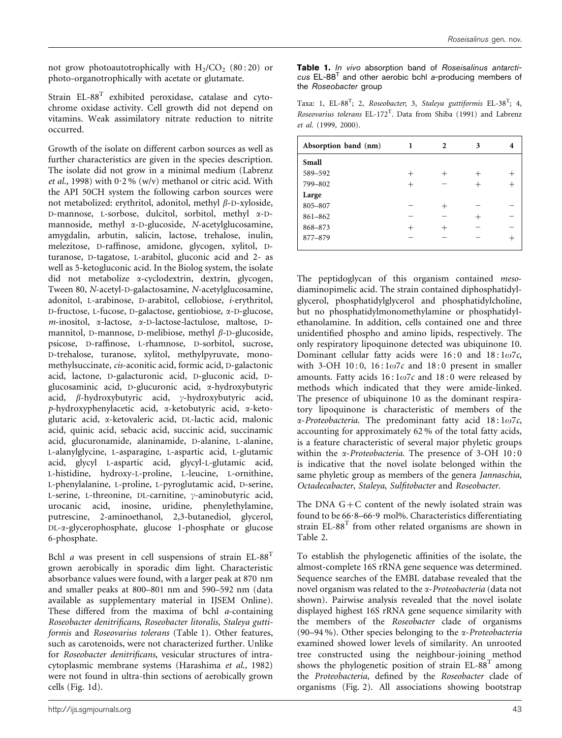not grow photoautotrophically with  $H_2/CO_2$  (80:20) or photo-organotrophically with acetate or glutamate.

Strain EL-88T exhibited peroxidase, catalase and cytochrome oxidase activity. Cell growth did not depend on vitamins. Weak assimilatory nitrate reduction to nitrite occurred.

Growth of the isolate on different carbon sources as well as further characteristics are given in the species description. The isolate did not grow in a minimal medium (Labrenz et al., 1998) with  $0.2\%$  (w/v) methanol or citric acid. With the API 50CH system the following carbon sources were not metabolized: erythritol, adonitol, methyl  $\beta$ -D-xyloside, D-mannose, L-sorbose, dulcitol, sorbitol, methyl a-Dmannoside, methyl a-D-glucoside, N-acetylglucosamine, amygdalin, arbutin, salicin, lactose, trehalose, inulin, melezitose, D-raffinose, amidone, glycogen, xylitol, Dturanose, D-tagatose, L-arabitol, gluconic acid and 2- as well as 5-ketogluconic acid. In the Biolog system, the isolate did not metabolize a-cyclodextrin, dextrin, glycogen, Tween 80, N-acetyl-D-galactosamine, N-acetylglucosamine, adonitol, L-arabinose, D-arabitol, cellobiose, i-erythritol, D-fructose, L-fucose, D-galactose, gentiobiose, a-D-glucose,  $m$ -inositol,  $\alpha$ -lactose,  $\alpha$ -D-lactose-lactulose, maltose, Dmannitol, D-mannose, D-melibiose, methyl  $\beta$ -D-glucoside, psicose, D-raffinose, L-rhamnose, D-sorbitol, sucrose, D-trehalose, turanose, xylitol, methylpyruvate, monomethylsuccinate, cis-aconitic acid, formic acid, D-galactonic acid, lactone, D-galacturonic acid, D-gluconic acid, Dglucosaminic acid, D-glucuronic acid, a-hydroxybutyric acid,  $\beta$ -hydroxybutyric acid,  $\gamma$ -hydroxybutyric acid, p-hydroxyphenylacetic acid, a-ketobutyric acid, a-ketoglutaric acid, a-ketovaleric acid, DL-lactic acid, malonic acid, quinic acid, sebacic acid, succinic acid, succinamic acid, glucuronamide, alaninamide, D-alanine, L-alanine, L-alanylglycine, L-asparagine, L-aspartic acid, L-glutamic acid, glycyl L-aspartic acid, glycyl-L-glutamic acid, L-histidine, hydroxy-L-proline, L-leucine, L-ornithine, L-phenylalanine, L-proline, L-pyroglutamic acid, D-serine, L-serine, L-threonine, DL-carnitine,  $\gamma$ -aminobutyric acid, urocanic acid, inosine, uridine, phenylethylamine, putrescine, 2-aminoethanol, 2,3-butanediol, glycerol, DL-a-glycerophosphate, glucose 1-phosphate or glucose 6-phosphate.

Bchl *a* was present in cell suspensions of strain  $EL-88<sup>T</sup>$ grown aerobically in sporadic dim light. Characteristic absorbance values were found, with a larger peak at 870 nm and smaller peaks at 800–801 nm and 590–592 nm (data available as supplementary material in IJSEM Online). These differed from the maxima of bchl a-containing Roseobacter denitrificans, Roseobacter litoralis, Staleya guttiformis and Roseovarius tolerans (Table 1). Other features, such as carotenoids, were not characterized further. Unlike for Roseobacter denitrificans, vesicular structures of intracytoplasmic membrane systems (Harashima et al., 1982) were not found in ultra-thin sections of aerobically grown cells (Fig. 1d).

Table 1. In vivo absorption band of Roseisalinus antarcti $cus$  EL-88<sup>T</sup> and other aerobic bchl a-producing members of the Roseobacter group

Taxa: 1, EL-88<sup>T</sup>; 2, Roseobacter; 3, Staleya guttiformis EL-38<sup>T</sup>; 4, Roseovarius tolerans  $EL-172^T$ . Data from Shiba (1991) and Labrenz et al. (1999, 2000).

| Absorption band (nm) | 2 | 4    |
|----------------------|---|------|
| Small                |   |      |
| 589-592              |   | $^+$ |
| 799-802              |   |      |
| Large                |   |      |
| 805-807              |   |      |
| 861-862              |   |      |
| 868-873              |   |      |
| 877-879              |   |      |
|                      |   |      |

The peptidoglycan of this organism contained mesodiaminopimelic acid. The strain contained diphosphatidylglycerol, phosphatidylglycerol and phosphatidylcholine, but no phosphatidylmonomethylamine or phosphatidylethanolamine. In addition, cells contained one and three unidentified phospho and amino lipids, respectively. The only respiratory lipoquinone detected was ubiquinone 10. Dominant cellular fatty acids were  $16:0$  and  $18:1\omega7c$ , with 3-OH 10:0,  $16:1\omega$ 7c and 18:0 present in smaller amounts. Fatty acids  $16:1\omega$ 7c and  $18:0$  were released by methods which indicated that they were amide-linked. The presence of ubiquinone 10 as the dominant respiratory lipoquinone is characteristic of members of the  $\alpha$ -Proteobacteria. The predominant fatty acid 18:1 $\omega$ 7c, accounting for approximately 62 % of the total fatty acids, is a feature characteristic of several major phyletic groups within the *x-Proteobacteria*. The presence of 3-OH 10:0 is indicative that the novel isolate belonged within the same phyletic group as members of the genera Jannaschia, Octadecabacter, Staleya, Sulfitobacter and Roseobacter.

The DNA  $G + C$  content of the newly isolated strain was found to be  $66.8-66.9$  mol%. Characteristics differentiating strain EL-88<sup>T</sup> from other related organisms are shown in Table 2.

To establish the phylogenetic affinities of the isolate, the almost-complete 16S rRNA gene sequence was determined. Sequence searches of the EMBL database revealed that the novel organism was related to the a-Proteobacteria (data not shown). Pairwise analysis revealed that the novel isolate displayed highest 16S rRNA gene sequence similarity with the members of the Roseobacter clade of organisms (90–94 %). Other species belonging to the  $\alpha$ -Proteobacteria examined showed lower levels of similarity. An unrooted tree constructed using the neighbour-joining method shows the phylogenetic position of strain  $EL-88<sup>T</sup>$  among the Proteobacteria, defined by the Roseobacter clade of organisms (Fig. 2). All associations showing bootstrap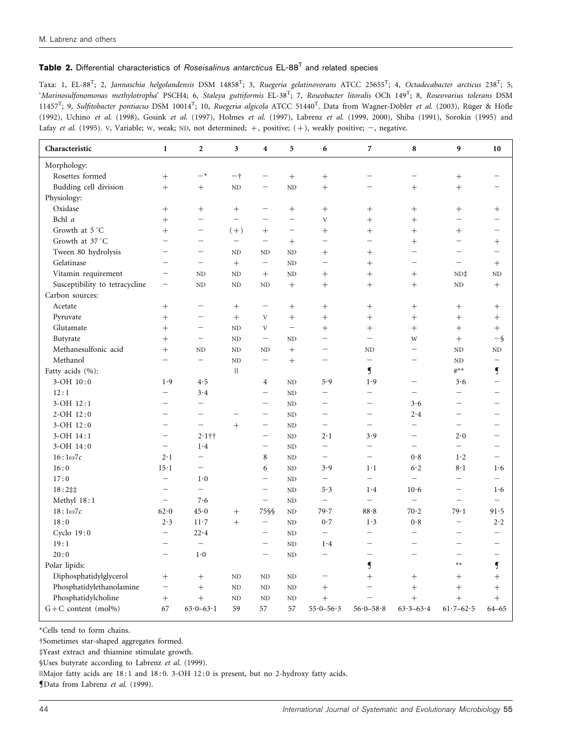## Table 2. Differential characteristics of Roseisalinus antarcticus EL-88<sup>T</sup> and related species

Taxa: 1, EL-88<sup>T</sup>; 2, Jannaschia helgolandensis DSM 14858<sup>T</sup>; 3, Ruegeria gelatinovorans ATCC 25655<sup>T</sup>; 4, Octadecabacter arcticus 238<sup>T</sup>; 5, 'Marinosulfonomonas methylotropha' PSCH4; 6, Staleya guttiformis EL-38T ; 7, Roseobacter litoralis OCh 149T ; 8, Roseovarius tolerans DSM 11457<sup>T</sup>; 9, Sulfitobacter pontiacus DSM 10014<sup>T</sup>; 10, Ruegeria algicola ATCC 51440<sup>T</sup>. Data from Wagner-Döbler et al. (2003), Rüger & Höfle (1992), Uchino et al. (1998), Gosink et al. (1997), Holmes et al. (1997), Labrenz et al. (1999, 2000), Shiba (1991), Sorokin (1995) and Lafay et al. (1995). V, Variable; W, weak; ND, not determined;  $+$ , positive;  $(+)$ , weakly positive;  $-$ , negative.

| Characteristic                 | $\mathbf{1}$             | $\boldsymbol{2}$         | $\overline{\mathbf{3}}$  | $\boldsymbol{4}$         | 5                        | 6                         | 7                        | 8                        | 9                        | 10                       |
|--------------------------------|--------------------------|--------------------------|--------------------------|--------------------------|--------------------------|---------------------------|--------------------------|--------------------------|--------------------------|--------------------------|
| Morphology:                    |                          |                          |                          |                          |                          |                           |                          |                          |                          |                          |
| Rosettes formed                |                          | $-*$                     | $-+$                     | $\overline{\phantom{0}}$ |                          | $\! +$                    | $\equiv$                 |                          |                          |                          |
| Budding cell division          | $^{+}$                   | $^{+}$                   | $\rm ND$                 | $\overline{\phantom{0}}$ | ND                       | $^{+}$                    |                          |                          | $^{+}$                   |                          |
| Physiology:                    |                          |                          |                          |                          |                          |                           |                          |                          |                          |                          |
| Oxidase                        |                          | $\! +$                   | $^{+}$                   | $\overline{\phantom{0}}$ | $^{+}$                   | $^{+}$                    | $^{+}$                   |                          | $^{+}$                   | $^{+}$                   |
| Bchl a                         | $^{+}$                   | $\overline{\phantom{0}}$ | $\overline{\phantom{0}}$ |                          | $\overline{\phantom{0}}$ | $\ensuremath{\mathbf{V}}$ | $^{+}$                   | $^{+}$                   |                          |                          |
| Growth at 5°C                  | $^{+}$                   | $\overline{\phantom{0}}$ | $(+)$                    | $^{+}$                   | $\qquad \qquad -$        | $^{+}$                    | $^{+}$                   | $^{+}$                   | $^{+}$                   | $\overline{\phantom{a}}$ |
| Growth at 37 °C                | $\equiv$                 | $\overline{\phantom{0}}$ | $\overline{\phantom{m}}$ | $\overline{\phantom{0}}$ | $^{+}$                   | $\overline{\phantom{0}}$  | $\overline{\phantom{0}}$ | $^{+}$                   |                          | $^{+}$                   |
| Tween 80 hydrolysis            | $\overline{\phantom{0}}$ | $\overline{\phantom{0}}$ | ND                       | <b>ND</b>                | <b>ND</b>                | $^{+}$                    | $^{+}$                   |                          |                          |                          |
| Gelatinase                     | $\equiv$                 | $\equiv$                 | $+$                      | $\overline{\phantom{0}}$ | N <sub>D</sub>           | $\equiv$                  | $^{+}$                   |                          | $\equiv$                 | $+$                      |
| Vitamin requirement            |                          | $\rm ND$                 | $\rm ND$                 | $^{+}$                   | N <sub>D</sub>           | $^{+}$                    | $^{+}$                   | $^{+}$                   | ND#                      | $\rm ND$                 |
| Susceptibility to tetracycline |                          | ND                       | ND                       | ND                       | $^{+}$                   | $^{+}$                    | $^{+}$                   |                          | ND                       | $^{+}$                   |
| Carbon sources:                |                          |                          |                          |                          |                          |                           |                          |                          |                          |                          |
| Acetate                        |                          | $\overline{\phantom{0}}$ | $^{+}$                   | $\overline{\phantom{0}}$ | $\! + \!\!\!\!$          | $^{+}$                    | $^{+}$                   |                          | $^{+}$                   | $^{+}$                   |
| Pyruvate                       | $^{+}$                   | —                        | $^{+}$                   | V                        | $\! + \!\!\!\!$          | $^{+}$                    | $^{+}$                   |                          |                          | $^{+}$                   |
| Glutamate                      | $^{+}$                   |                          | <b>ND</b>                | V                        | $\overline{\phantom{m}}$ | $^{+}$                    | $^{+}$                   | $^{+}$                   | $^{+}$                   | $\! + \!$                |
| Butyrate                       | $^{+}$                   | $\equiv$                 | ND                       | $\equiv$                 | N <sub>D</sub>           | $\equiv$                  | $\overline{\phantom{0}}$ | W                        |                          | $-\S$                    |
| Methanesulfonic acid           | $+$                      | $\rm ND$                 | $\rm ND$                 | ND                       | $^{+}$                   | -                         | $\rm ND$                 | $\overline{\phantom{m}}$ | ND                       | $\rm ND$                 |
| Methanol                       |                          | $\overline{\phantom{0}}$ | $\rm ND$                 | $\qquad \qquad -$        | $^{+}$                   | $\equiv$                  | $\overline{\phantom{0}}$ | $\overline{\phantom{0}}$ | N <sub>D</sub>           | $\qquad \qquad -$        |
| Fatty acids (%):               |                          |                          | $\mathbf{H}$             |                          |                          |                           | $\overline{\mathsf{S}}$  |                          | $\#$ **                  | $\overline{\mathbf{S}}$  |
| $3-OH$ $10:0$                  | 1.9                      | 4.5                      |                          | $\overline{4}$           | ND                       | 5.9                       | 1.9                      | $\overline{\phantom{m}}$ | 3.6                      | $\overline{\phantom{0}}$ |
| 12:1                           |                          | 3.4                      |                          | $\overline{\phantom{0}}$ | N <sub>D</sub>           | $\overline{\phantom{0}}$  | $\equiv$                 | $\overline{\phantom{m}}$ | $\equiv$                 | $\overline{\phantom{0}}$ |
| $3-OH$ $12:1$                  | $\equiv$                 | $\overline{\phantom{0}}$ |                          | $\overline{\phantom{0}}$ | ND                       | $\overline{\phantom{0}}$  | $\equiv$                 | 3.6                      | $=$                      |                          |
| $2-OH$ 12:0                    |                          | $\overline{\phantom{0}}$ |                          | $\overline{\phantom{0}}$ | <b>ND</b>                | $\overline{\phantom{0}}$  | $\overline{\phantom{0}}$ | 2.4                      | $\overline{\phantom{0}}$ |                          |
| $3-OH$ $12:0$                  |                          | $\equiv$                 | $^{+}$                   | $\overline{\phantom{0}}$ | N <sub>D</sub>           | $\overline{\phantom{0}}$  | $\overline{\phantom{0}}$ | $\frac{1}{2}$            | $\equiv$                 |                          |
| $3-OH$ $14:1$                  |                          | $2.1$ ††                 |                          | $\overline{\phantom{0}}$ | N <sub>D</sub>           | $2 \cdot 1$               | 3.9                      |                          | 2.0                      |                          |
| $3-OH$ $14:0$                  |                          | 1.4                      |                          | $\overline{\phantom{0}}$ | ND                       |                           |                          | $\overline{\phantom{m}}$ |                          |                          |
| $16:1\omega$ 7c                | $2 \cdot 1$              | $\overline{\phantom{0}}$ |                          | 8                        | N <sub>D</sub>           | $\equiv$                  | $\equiv$                 | 0.8                      | 1·2                      | $\overline{\phantom{0}}$ |
| 16:0                           | $15 \cdot 1$             |                          |                          | 6                        | <b>ND</b>                | 3.9                       | $1 \cdot 1$              | 6.2                      | 8·1                      | 1.6                      |
| 17:0                           | $\equiv$                 | 1.0                      |                          | $\overline{\phantom{0}}$ | N <sub>D</sub>           | $\qquad \qquad -$         | $\equiv$                 | $\overline{\phantom{m}}$ |                          | $\equiv$                 |
| $18:2 \ddagger \ddagger$       | $\overline{\phantom{0}}$ | $\equiv$                 |                          | $\overline{\phantom{0}}$ | ND                       | 5.3                       | 1.4                      | 10.6                     | $\equiv$                 | 1.6                      |
| Methyl 18:1                    | $\overline{\phantom{m}}$ | 7.6                      |                          | $\overline{\phantom{0}}$ | ND                       | $\overline{\phantom{0}}$  | $\overline{\phantom{0}}$ | $\equiv$                 | $\overline{\phantom{0}}$ | $\overline{\phantom{0}}$ |
| $18:1\omega7c$                 | 62.0                     | 45.0                     | $^{+}$                   | 75§§                     | <b>ND</b>                | 79.7                      | 88.8                     | 70.2                     | 79.1                     | 91.5                     |
| 18:0                           | 2.3                      | $11-7$                   | $^{+}$                   | $\overline{\phantom{0}}$ | N <sub>D</sub>           | 0.7                       | 1.3                      | 0.8                      | $\equiv$                 | $2 \cdot 2$              |
| Cyclo 19:0                     | $\overline{\phantom{m}}$ | 22.4                     |                          |                          | ND                       | $\qquad \qquad -$         | $\overline{\phantom{0}}$ |                          |                          |                          |
| 19:1                           |                          | $\overline{\phantom{0}}$ |                          | $\overline{\phantom{0}}$ | N <sub>D</sub>           | 1.4                       | $\overline{\phantom{0}}$ |                          | $\overline{\phantom{0}}$ | $\overline{\phantom{0}}$ |
| 20:0                           | $\equiv$                 | 1.0                      |                          | $\overline{\phantom{0}}$ | N <sub>D</sub>           | $\equiv$                  |                          | $\overline{\phantom{a}}$ |                          |                          |
| Polar lipids:                  |                          |                          |                          |                          |                          |                           | $\overline{\mathbf{S}}$  |                          | $**$                     | $\overline{\mathbf{S}}$  |
| Diphosphatidylglycerol         |                          | $^{+}$                   | $\rm ND$                 | ND                       | N <sub>D</sub>           | $\overline{\phantom{0}}$  | $^{+}$                   | $^{+}$                   | $^{+}$                   | $^{+}$                   |
| Phosphatidylethanolamine       | $\qquad \qquad -$        | $^{+}$                   | $\rm ND$                 | $\rm ND$                 | ND                       | $^{+}$                    | $\overline{\phantom{0}}$ | $^{+}$                   | $^{+}$                   | $^{+}$                   |
| Phosphatidylcholine            |                          | $^{+}$                   | <b>ND</b>                | <b>ND</b>                | ND                       | $^{+}$                    | $\overline{\phantom{0}}$ | $^{+}$                   | $^{+}$                   | $^{+}$                   |
| $G + C$ content (mol%)         | 67                       | $63.0 - 63.1$            | 59                       | 57                       | 57                       | $55.0 - 56.3$             | $56.0 - 58.8$            | $63.3 - 63.4$            | $61.7 - 62.5$            | $64 - 65$                |

\*Cells tend to form chains.

†Sometimes star-shaped aggregates formed.

#Yeast extract and thiamine stimulate growth.

§Uses butyrate according to Labrenz et al. (1999).

||Major fatty acids are 18 : 1 and 18 : 0. 3-OH 12 : 0 is present, but no 2-hydroxy fatty acids.

Data from Labrenz et al. (1999).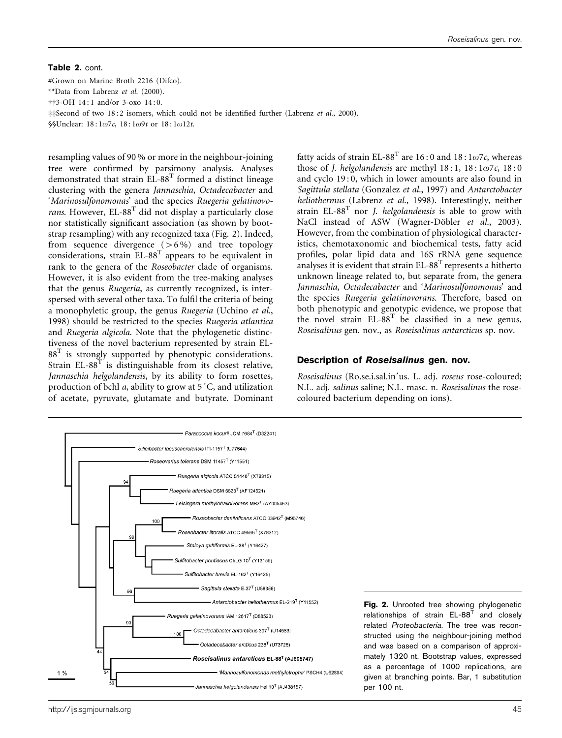Table 2. cont. #Grown on Marine Broth 2216 (Difco). \*\*Data from Labrenz et al. (2000).  $\dagger$ <sup>+</sup>3-OH 14:1 and/or 3-oxo 14:0. ##Second of two 18:2 isomers, which could not be identified further (Labrenz et al., 2000). §§Unclear: 18:1ω7c, 18:1ω9t or 18:1ω12t.

resampling values of 90 % or more in the neighbour-joining tree were confirmed by parsimony analysis. Analyses demonstrated that strain EL-88<sup>T</sup> formed a distinct lineage clustering with the genera Jannaschia, Octadecabacter and 'Marinosulfonomonas' and the species Ruegeria gelatinovorans. However,  $EL-88^T$  did not display a particularly close nor statistically significant association (as shown by bootstrap resampling) with any recognized taxa (Fig. 2). Indeed, from sequence divergence  $(>6\%)$  and tree topology considerations, strain  $EL-88^{T}$  appears to be equivalent in rank to the genera of the Roseobacter clade of organisms. However, it is also evident from the tree-making analyses that the genus Ruegeria, as currently recognized, is interspersed with several other taxa. To fulfil the criteria of being a monophyletic group, the genus Ruegeria (Uchino et al., 1998) should be restricted to the species Ruegeria atlantica and Ruegeria algicola. Note that the phylogenetic distinctiveness of the novel bacterium represented by strain EL- $88<sup>T</sup>$  is strongly supported by phenotypic considerations. Strain  $EL-88^{T}$  is distinguishable from its closest relative, Jannaschia helgolandensis, by its ability to form rosettes, production of bchl *a*, ability to grow at  $5^{\circ}C$ , and utilization of acetate, pyruvate, glutamate and butyrate. Dominant fatty acids of strain EL-88<sup>T</sup> are 16:0 and 18:1 $\omega$ 7c, whereas those of J. helgolandensis are methyl  $18:1$ ,  $18:1\omega$ 7c,  $18:0$ and cyclo 19:0, which in lower amounts are also found in Sagittula stellata (Gonzalez et al., 1997) and Antarctobacter heliothermus (Labrenz et al., 1998). Interestingly, neither strain  $EL-88<sup>T</sup>$  nor *J. helgolandensis* is able to grow with NaCl instead of ASW (Wagner-Döbler et al., 2003). However, from the combination of physiological characteristics, chemotaxonomic and biochemical tests, fatty acid profiles, polar lipid data and 16S rRNA gene sequence analyses it is evident that strain  $EL-88<sup>T</sup>$  represents a hitherto unknown lineage related to, but separate from, the genera Jannaschia, Octadecabacter and 'Marinosulfonomonas' and the species Ruegeria gelatinovorans. Therefore, based on both phenotypic and genotypic evidence, we propose that the novel strain  $EL-88^T$  be classified in a new genus, Roseisalinus gen. nov., as Roseisalinus antarcticus sp. nov.

#### Description of Roseisalinus gen. nov.

Roseisalinus (Ro.se.i.sal.in'us. L. adj. roseus rose-coloured; N.L. adj. salinus saline; N.L. masc. n. Roseisalinus the rosecoloured bacterium depending on ions).

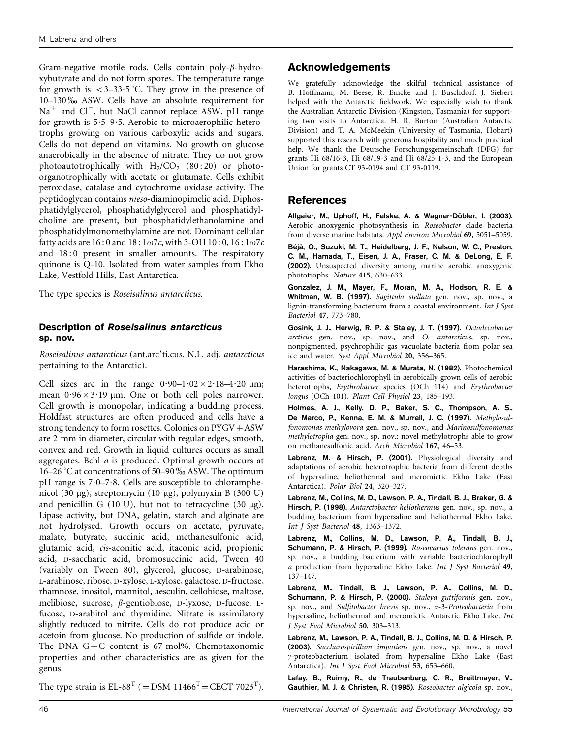Gram-negative motile rods. Cells contain poly- $\beta$ -hydroxybutyrate and do not form spores. The temperature range for growth is  $\langle 3-33.5 \rangle$ °C. They grow in the presence of 10–130 % ASW. Cells have an absolute requirement for  $Na<sup>+</sup>$  and  $Cl<sup>-</sup>$ , but NaCl cannot replace ASW. pH range for growth is  $5.5-9.5$ . Aerobic to microaerophilic heterotrophs growing on various carboxylic acids and sugars. Cells do not depend on vitamins. No growth on glucose anaerobically in the absence of nitrate. They do not grow photoautotrophically with  $H_2/CO_2$  (80:20) or photoorganotrophically with acetate or glutamate. Cells exhibit peroxidase, catalase and cytochrome oxidase activity. The peptidoglycan contains meso-diaminopimelic acid. Diphosphatidylglycerol, phosphatidylglycerol and phosphatidylcholine are present, but phosphatidylethanolamine and phosphatidylmonomethylamine are not. Dominant cellular fatty acids are  $16:0$  and  $18:1\omega$ 7c, with 3-OH  $10:0$ ,  $16:1\omega$ 7c and 18:0 present in smaller amounts. The respiratory quinone is Q-10. Isolated from water samples from Ekho Lake, Vestfold Hills, East Antarctica.

The type species is Roseisalinus antarcticus.

### Description of Roseisalinus antarcticus sp. nov.

Roseisalinus antarcticus (ant.arc'ti.cus. N.L. adj. antarcticus pertaining to the Antarctic).

Cell sizes are in the range  $0.90-1.02 \times 2.18-4.20 \mu m$ ; mean  $0.96 \times 3.19$  µm. One or both cell poles narrower. Cell growth is monopolar, indicating a budding process. Holdfast structures are often produced and cells have a strong tendency to form rosettes. Colonies on  $PYGV + ASW$ are 2 mm in diameter, circular with regular edges, smooth, convex and red. Growth in liquid cultures occurs as small aggregates. Bchl a is produced. Optimal growth occurs at 16–26 °C at concentrations of 50–90  $\%$  ASW. The optimum pH range is  $7.0-7.8$ . Cells are susceptible to chloramphenicol (30 mg), streptomycin (10 mg), polymyxin B (300 U) and penicillin G  $(10 \text{ U})$ , but not to tetracycline  $(30 \mu g)$ . Lipase activity, but DNA, gelatin, starch and alginate are not hydrolysed. Growth occurs on acetate, pyruvate, malate, butyrate, succinic acid, methanesulfonic acid, glutamic acid, cis-aconitic acid, itaconic acid, propionic acid, D-saccharic acid, bromosuccinic acid, Tween 40 (variably on Tween 80), glycerol, glucose, D-arabinose, L-arabinose, ribose, D-xylose, L-xylose, galactose, D-fructose, rhamnose, inositol, mannitol, aesculin, cellobiose, maltose, melibiose, sucrose, b-gentiobiose, D-lyxose, D-fucose, Lfucose, D-arabitol and thymidine. Nitrate is assimilatory slightly reduced to nitrite. Cells do not produce acid or acetoin from glucose. No production of sulfide or indole. The DNA  $G+C$  content is 67 mol%. Chemotaxonomic properties and other characteristics are as given for the genus.

Acknowledgements

We gratefully acknowledge the skilful technical assistance of B. Hoffmann, M. Beese, R. Emcke and J. Buschdorf. J. Siebert helped with the Antarctic fieldwork. We especially wish to thank the Australian Antarctic Division (Kingston, Tasmania) for supporting two visits to Antarctica. H. R. Burton (Australian Antarctic Division) and T. A. McMeekin (University of Tasmania, Hobart) supported this research with generous hospitality and much practical help. We thank the Deutsche Forschungsgemeinschaft (DFG) for grants Hi 68/16-3, Hi 68/19-3 and Hi 68/25-1-3, and the European Union for grants CT 93-0194 and CT 93-0119.

## References

Allgaier, M., Uphoff, H., Felske, A. & Wagner-Döbler, I. (2003). Aerobic anoxygenic photosynthesis in Roseobacter clade bacteria from diverse marine habitats. Appl Environ Microbiol 69, 5051–5059.

Béjà, O., Suzuki, M. T., Heidelberg, J. F., Nelson, W. C., Preston, C. M., Hamada, T., Eisen, J. A., Fraser, C. M. & DeLong, E. F. (2002). Unsuspected diversity among marine aerobic anoxygenic phototrophs. Nature 415, 630–633.

Gonzalez, J. M., Mayer, F., Moran, M. A., Hodson, R. E. & Whitman, W. B. (1997). Sagittula stellata gen. nov., sp. nov., a lignin-transforming bacterium from a coastal environment. Int J Syst Bacteriol 47, 773–780.

Gosink, J. J., Herwig, R. P. & Staley, J. T. (1997). Octadecabacter arcticus gen. nov., sp. nov., and O. antarcticus, sp. nov., nonpigmented, psychrophilic gas vacuolate bacteria from polar sea ice and water. Syst Appl Microbiol 20, 356–365.

Harashima, K., Nakagawa, M. & Murata, N. (1982). Photochemical activities of bacteriochlorophyll in aerobically grown cells of aerobic heterotrophs, Erythrobacter species (OCh 114) and Erythrobacter longus (OCh 101). Plant Cell Physiol 23, 185–193.

Holmes, A. J., Kelly, D. P., Baker, S. C., Thompson, A. S., De Marco, P., Kenna, E. M. & Murrell, J. C. (1997). Methylosulfonomonas methylovora gen. nov., sp. nov., and Marinosulfonomonas methylotropha gen. nov., sp. nov.: novel methylotrophs able to grow on methanesulfonic acid. Arch Microbiol 167, 46–53.

Labrenz, M. & Hirsch, P. (2001). Physiological diversity and adaptations of aerobic heterotrophic bacteria from different depths of hypersaline, heliothermal and meromictic Ekho Lake (East Antarctica). Polar Biol 24, 320–327.

Labrenz, M., Collins, M. D., Lawson, P. A., Tindall, B. J., Braker, G. & Hirsch, P. (1998). Antarctobacter heliothermus gen. nov., sp. nov., a budding bacterium from hypersaline and heliothermal Ekho Lake. Int J Syst Bacteriol 48, 1363–1372.

Labrenz, M., Collins, M. D., Lawson, P. A., Tindall, B. J., Schumann, P. & Hirsch, P. (1999). Roseovarius tolerans gen. nov., sp. nov., a budding bacterium with variable bacteriochlorophyll a production from hypersaline Ekho Lake. Int J Syst Bacteriol 49, 137–147.

Labrenz, M., Tindall, B. J., Lawson, P. A., Collins, M. D., Schumann, P. & Hirsch, P. (2000). Staleya guttiformis gen. nov., sp. nov., and Sulfitobacter brevis sp. nov., a-3-Proteobacteria from hypersaline, heliothermal and meromictic Antarctic Ekho Lake. Int J Syst Evol Microbiol 50, 303–313.

Labrenz, M., Lawson, P. A., Tindall, B. J., Collins, M. D. & Hirsch, P. (2003). Saccharospirillum impatiens gen. nov., sp. nov., a novel  $\gamma$ -proteobacterium isolated from hypersaline Ekho Lake (East Antarctica). Int J Syst Evol Microbiol 53, 653-660.

Lafay, B., Ruimy, R., de Traubenberg, C. R., Breittmayer, V., Gauthier, M. J. & Christen, R. (1995). Roseobacter algicola sp. nov.,